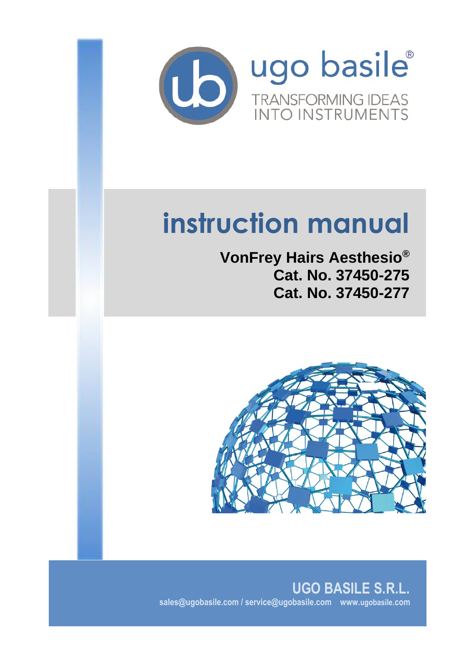

# **instruction manual**

**VonFrey Hairs Aesthesio® Cat. No. 37450-275 Cat. No. 37450-277**



#### **UGO BASILE S.R.L. sales@ugobasile.com / service@ugobasile.com www.ugobasile.com**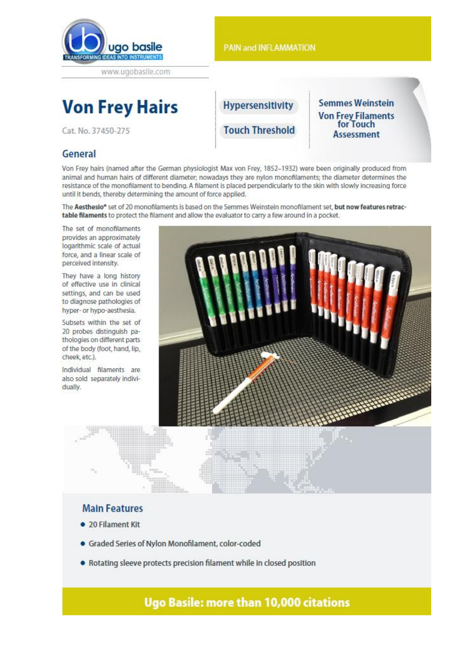

www.ugobaslle.com

#### **PAIN and INFLAMMATION**

# **Von Frey Hairs**

Cat. No. 37450-275

# **Hypersensitivity Touch Threshold**

**Semmes Weinstein Von Frey Filaments** for Touch **Assessment** 

#### General

Von Frey hairs (named after the German physiologist Max von Frey, 1852-1932) were been originally produced from animal and human hairs of different diameter; nowadays they are nylon monofilaments; the diameter determines the resistance of the monofilament to bending. A filament is placed perpendicularly to the skin with slowly increasing force until it bends, thereby determining the amount of force applied.

The Aesthesio<sup>®</sup> set of 20 monofilaments is based on the Semmes Weinstein monofilament set, but now features retractable filaments to protect the filament and allow the evaluator to carry a few around in a pocket.

The set of monofilaments provides an approximately logarithmic scale of actual force, and a linear scale of perceived intensity.

They have a long history of effective use in clinical settings, and can be used to diagnose pathologies of hyper- or hypo-aesthesia.

Subsets within the set of 20 probes distinguish pathologies on different parts of the body (foot, hand, lip, cheek, etc.).

Individual filaments are also sold separately individually.



#### **Main Features**

- 20 Filament Kit
- · Graded Series of Nylon Monofilament, color-coded
- . Rotating sleeve protects precision filament while in closed position

### **Ugo Basile: more than 10,000 citations**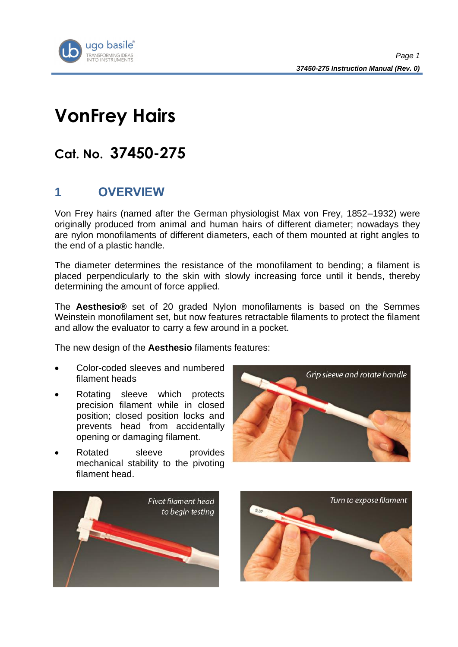

# **VonFrey Hairs**

# **Cat. No. 37450-275**

#### **1 OVERVIEW**

Von Frey hairs (named after the German physiologist Max von Frey, 1852–1932) were originally produced from animal and human hairs of different diameter; nowadays they are nylon monofilaments of different diameters, each of them mounted at right angles to the end of a plastic handle.

The diameter determines the resistance of the monofilament to bending; a filament is placed perpendicularly to the skin with slowly increasing force until it bends, thereby determining the amount of force applied.

The **Aesthesio®** set of 20 graded Nylon monofilaments is based on the Semmes Weinstein monofilament set, but now features retractable filaments to protect the filament and allow the evaluator to carry a few around in a pocket.

The new design of the **Aesthesio** filaments features:

- Color-coded sleeves and numbered filament heads
- Rotating sleeve which protects precision filament while in closed position; closed position locks and prevents head from accidentally opening or damaging filament.
- Rotated sleeve provides mechanical stability to the pivoting filament head.





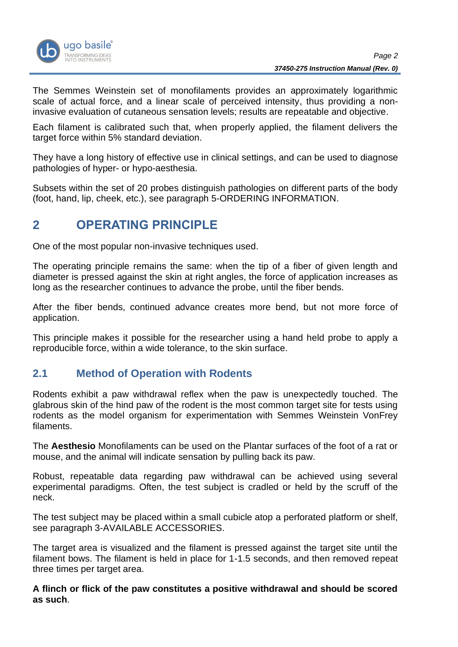

The Semmes Weinstein set of monofilaments provides an approximately logarithmic scale of actual force, and a linear scale of perceived intensity, thus providing a noninvasive evaluation of cutaneous sensation levels; results are repeatable and objective.

Each filament is calibrated such that, when properly applied, the filament delivers the target force within 5% standard deviation.

They have a long history of effective use in clinical settings, and can be used to diagnose pathologies of hyper- or hypo-aesthesia.

Subsets within the set of 20 probes distinguish pathologies on different parts of the body (foot, hand, lip, cheek, etc.), see paragraph [5-ORDERING INFORMATION.](#page-9-0)

### **2 OPERATING PRINCIPLE**

One of the most popular non-invasive techniques used.

The operating principle remains the same: when the tip of a fiber of given length and diameter is pressed against the skin at right angles, the force of application increases as long as the researcher continues to advance the probe, until the fiber bends.

After the fiber bends, continued advance creates more bend, but not more force of application.

This principle makes it possible for the researcher using a hand held probe to apply a reproducible force, within a wide tolerance, to the skin surface.

#### **2.1 Method of Operation with Rodents**

Rodents exhibit a paw withdrawal reflex when the paw is unexpectedly touched. The glabrous skin of the hind paw of the rodent is the most common target site for tests using rodents as the model organism for experimentation with Semmes Weinstein VonFrey filaments.

The **Aesthesio** Monofilaments can be used on the Plantar surfaces of the foot of a rat or mouse, and the animal will indicate sensation by pulling back its paw.

Robust, repeatable data regarding paw withdrawal can be achieved using several experimental paradigms. Often, the test subject is cradled or held by the scruff of the neck.

The test subject may be placed within a small cubicle atop a perforated platform or shelf, see paragraph [3-](#page-6-0)AVAILABLE [ACCESSORIES.](#page-6-0)

The target area is visualized and the filament is pressed against the target site until the filament bows. The filament is held in place for 1-1.5 seconds, and then removed repeat three times per target area.

**A flinch or flick of the paw constitutes a positive withdrawal and should be scored as such**.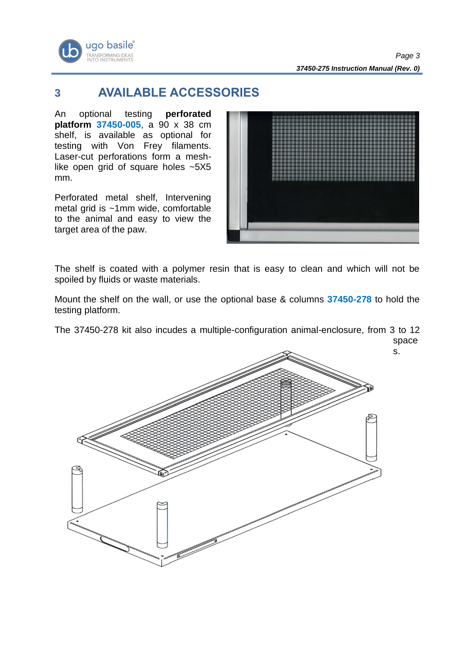

s.

#### <span id="page-6-0"></span>**3 AVAILABLE ACCESSORIES**

An optional testing **perforated platform 37450-005**, a 90 x 38 cm shelf, is available as optional for testing with Von Frey filaments. Laser-cut perforations form a meshlike open grid of square holes ~5X5 mm.

Perforated metal shelf, Intervening metal grid is ~1mm wide, comfortable to the animal and easy to view the target area of the paw.

|  |   |  | E1818181818181818181 |  |  |  |  | <b>METHELBER (METHELBER 2013) AND METHELBER (METHEL</b> |   |   |   |  |      |   |                 | e  |   | 图(图 |        |
|--|---|--|----------------------|--|--|--|--|---------------------------------------------------------|---|---|---|--|------|---|-----------------|----|---|-----|--------|
|  | ٠ |  |                      |  |  |  |  |                                                         |   |   |   |  |      |   |                 |    |   |     | ш      |
|  |   |  |                      |  |  |  |  |                                                         |   |   |   |  |      |   |                 |    |   |     |        |
|  |   |  |                      |  |  |  |  |                                                         |   |   |   |  |      |   |                 |    |   |     |        |
|  |   |  |                      |  |  |  |  |                                                         |   |   |   |  |      |   |                 |    |   |     | E      |
|  |   |  |                      |  |  |  |  |                                                         |   |   |   |  |      |   |                 |    |   |     | n<br>R |
|  |   |  |                      |  |  |  |  |                                                         |   |   |   |  |      |   |                 |    |   |     |        |
|  |   |  |                      |  |  |  |  |                                                         |   |   |   |  |      |   |                 |    |   |     |        |
|  |   |  |                      |  |  |  |  |                                                         |   |   |   |  |      |   |                 |    |   |     | R      |
|  |   |  |                      |  |  |  |  |                                                         |   |   |   |  |      |   |                 |    |   |     | E      |
|  |   |  |                      |  |  |  |  |                                                         |   |   |   |  |      |   |                 |    |   |     | 厝      |
|  |   |  |                      |  |  |  |  |                                                         |   |   |   |  |      |   |                 |    |   |     | ı      |
|  |   |  |                      |  |  |  |  |                                                         |   |   |   |  |      |   |                 |    |   |     | B<br>豊 |
|  |   |  |                      |  |  |  |  |                                                         |   |   |   |  |      |   |                 |    |   |     | ū      |
|  |   |  |                      |  |  |  |  |                                                         |   |   |   |  |      |   |                 |    |   |     |        |
|  | п |  |                      |  |  |  |  | 團                                                       | 图 | П | s |  |      |   |                 |    |   |     | ∎      |
|  |   |  |                      |  |  |  |  |                                                         |   |   |   |  | mini | ш | I MIT DIN I MIT | mm | п |     | 盲      |
|  |   |  |                      |  |  |  |  |                                                         |   |   |   |  |      |   |                 |    |   |     |        |
|  |   |  |                      |  |  |  |  |                                                         |   |   |   |  |      |   |                 |    |   |     |        |
|  |   |  |                      |  |  |  |  |                                                         |   |   |   |  |      |   |                 |    |   |     |        |
|  |   |  |                      |  |  |  |  |                                                         |   |   |   |  |      |   |                 |    |   |     |        |
|  |   |  |                      |  |  |  |  |                                                         |   |   |   |  |      |   |                 |    |   |     |        |
|  |   |  |                      |  |  |  |  |                                                         |   |   |   |  |      |   |                 |    |   |     |        |
|  |   |  |                      |  |  |  |  |                                                         |   |   |   |  |      |   |                 |    |   |     |        |
|  |   |  |                      |  |  |  |  |                                                         |   |   |   |  |      |   |                 |    |   |     |        |
|  |   |  |                      |  |  |  |  |                                                         |   |   |   |  |      |   |                 |    |   |     |        |
|  |   |  |                      |  |  |  |  |                                                         |   |   |   |  |      |   |                 |    |   |     |        |
|  |   |  |                      |  |  |  |  |                                                         |   |   |   |  |      |   |                 |    |   |     |        |
|  |   |  |                      |  |  |  |  |                                                         |   |   |   |  |      |   |                 |    |   |     |        |
|  |   |  |                      |  |  |  |  |                                                         |   |   |   |  |      |   |                 |    |   |     |        |
|  |   |  |                      |  |  |  |  |                                                         |   |   |   |  |      |   |                 |    |   |     |        |

The shelf is coated with a polymer resin that is easy to clean and which will not be spoiled by fluids or waste materials.

Mount the shelf on the wall, or use the optional base & columns **37450-278** to hold the testing platform.

The 37450-278 kit also incudes a multiple-configuration animal-enclosure, from 3 to 12 space

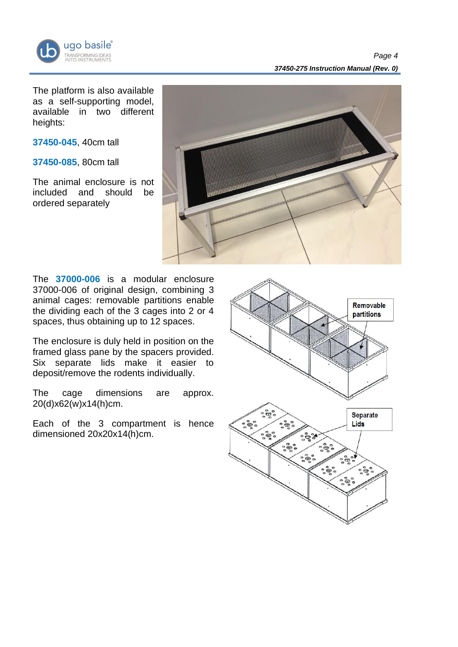

The platform is also available as a self-supporting model, available in two different heights:

**37450-045**, 40cm tall

**37450-085**, 80cm tall

The animal enclosure is not included and should be ordered separately



The **37000-006** is a modular enclosure 37000-006 of original design, combining 3 animal cages: removable partitions enable the dividing each of the 3 cages into 2 or 4 spaces, thus obtaining up to 12 spaces.

The enclosure is duly held in position on the framed glass pane by the spacers provided. Six separate lids make it easier to deposit/remove the rodents individually.

The cage dimensions are approx. 20(d)x62(w)x14(h)cm.

Each of the 3 compartment is hence dimensioned 20x20x14(h)cm.

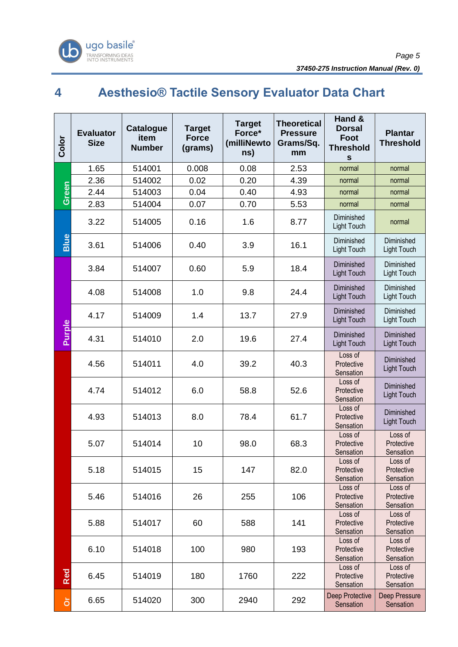

## **4 Aesthesio® Tactile Sensory Evaluator Data Chart**

| Color          | <b>Evaluator</b><br><b>Size</b> | <b>Catalogue</b><br>item<br><b>Number</b> | <b>Target</b><br><b>Force</b><br>(grams) | <b>Target</b><br>Force*<br>(milliNewto<br>ns) | <b>Theoretical</b><br><b>Pressure</b><br>Grams/Sq.<br>mm | Hand &<br><b>Dorsal</b><br><b>Foot</b><br><b>Threshold</b><br>s | <b>Plantar</b><br><b>Threshold</b> |
|----------------|---------------------------------|-------------------------------------------|------------------------------------------|-----------------------------------------------|----------------------------------------------------------|-----------------------------------------------------------------|------------------------------------|
|                | 1.65                            | 514001                                    | 0.008                                    | 0.08                                          | 2.53                                                     | normal                                                          | normal                             |
|                | 2.36                            | 514002                                    | 0.02                                     | 0.20                                          | 4.39                                                     | normal                                                          | normal                             |
| Green          | 2.44                            | 514003                                    | 0.04                                     | 0.40                                          | 4.93                                                     | normal                                                          | normal                             |
|                | 2.83                            | 514004                                    | 0.07                                     | 0.70                                          | 5.53                                                     | normal                                                          | normal                             |
|                | 3.22                            | 514005                                    | 0.16                                     | 1.6                                           | 8.77                                                     | Diminished<br>Light Touch                                       | normal                             |
| <b>Blue</b>    | 3.61                            | 514006                                    | 0.40                                     | 3.9                                           | 16.1                                                     | Diminished<br>Light Touch                                       | Diminished<br>Light Touch          |
|                | 3.84                            | 514007                                    | 0.60                                     | 5.9                                           | 18.4                                                     | Diminished<br>Light Touch                                       | Diminished<br>Light Touch          |
|                | 4.08                            | 514008                                    | 1.0                                      | 9.8                                           | 24.4                                                     | Diminished<br>Light Touch                                       | Diminished<br>Light Touch          |
|                | 4.17                            | 514009                                    | 1.4                                      | 13.7                                          | 27.9                                                     | Diminished<br>Light Touch                                       | Diminished<br>Light Touch          |
| <b>Purple</b>  | 4.31                            | 514010                                    | 2.0                                      | 19.6                                          | 27.4                                                     | Diminished<br>Light Touch                                       | Diminished<br><b>Light Touch</b>   |
|                | 4.56                            | 514011                                    | 4.0                                      | 39.2                                          | 40.3                                                     | Loss of<br>Protective<br>Sensation                              | Diminished<br><b>Light Touch</b>   |
|                | 4.74                            | 514012                                    | 6.0                                      | 58.8                                          | 52.6                                                     | Loss of<br>Protective<br>Sensation                              | Diminished<br><b>Light Touch</b>   |
|                | 4.93                            | 514013                                    | 8.0                                      | 78.4                                          | 61.7                                                     | Loss of<br>Protective<br>Sensation                              | Diminished<br><b>Light Touch</b>   |
|                | 5.07                            | 514014                                    | 10                                       | 98.0                                          | 68.3                                                     | Loss of<br>Protective<br>Sensation                              | Loss of<br>Protective<br>Sensation |
|                | 5.18                            | 514015                                    | 15                                       | 147                                           | 82.0                                                     | Loss of<br>Protective<br>Sensation                              | Loss of<br>Protective<br>Sensation |
|                | 5.46                            | 514016                                    | 26                                       | 255                                           | 106                                                      | Loss of<br>Protective<br>Sensation                              | Loss of<br>Protective<br>Sensation |
|                | 5.88                            | 514017                                    | 60                                       | 588                                           | 141                                                      | Loss of<br>Protective<br>Sensation                              | Loss of<br>Protective<br>Sensation |
|                | 6.10                            | 514018                                    | 100                                      | 980                                           | 193                                                      | Loss of<br>Protective<br>Sensation                              | Loss of<br>Protective<br>Sensation |
| Red            | 6.45                            | 514019                                    | 180                                      | 1760                                          | 222                                                      | Loss of<br>Protective<br>Sensation                              | Loss of<br>Protective<br>Sensation |
| $\overline{O}$ | 6.65                            | 514020                                    | 300                                      | 2940                                          | 292                                                      | <b>Deep Protective</b><br>Sensation                             | Deep Pressure<br>Sensation         |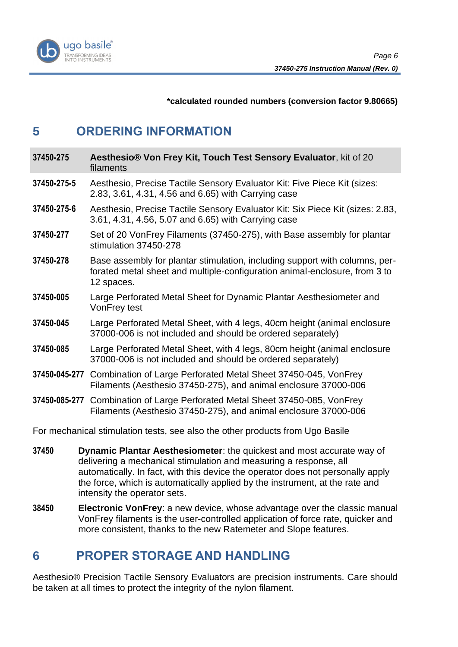

#### **\*calculated rounded numbers (conversion factor 9.80665)**

### <span id="page-9-0"></span>**5 ORDERING INFORMATION**

| 37450-275   | Aesthesio® Von Frey Kit, Touch Test Sensory Evaluator, kit of 20<br>filaments                                                                                           |
|-------------|-------------------------------------------------------------------------------------------------------------------------------------------------------------------------|
| 37450-275-5 | Aesthesio, Precise Tactile Sensory Evaluator Kit: Five Piece Kit (sizes:<br>2.83, 3.61, 4.31, 4.56 and 6.65) with Carrying case                                         |
| 37450-275-6 | Aesthesio, Precise Tactile Sensory Evaluator Kit: Six Piece Kit (sizes: 2.83,<br>3.61, 4.31, 4.56, 5.07 and 6.65) with Carrying case                                    |
| 37450-277   | Set of 20 VonFrey Filaments (37450-275), with Base assembly for plantar<br>stimulation 37450-278                                                                        |
| 37450-278   | Base assembly for plantar stimulation, including support with columns, per-<br>forated metal sheet and multiple-configuration animal-enclosure, from 3 to<br>12 spaces. |
| 37450-005   | Large Perforated Metal Sheet for Dynamic Plantar Aesthesiometer and<br>VonFrey test                                                                                     |
| 37450-045   | Large Perforated Metal Sheet, with 4 legs, 40cm height (animal enclosure<br>37000-006 is not included and should be ordered separately)                                 |
| 37450-085   | Large Perforated Metal Sheet, with 4 legs, 80cm height (animal enclosure<br>37000-006 is not included and should be ordered separately)                                 |
|             | 37450-045-277 Combination of Large Perforated Metal Sheet 37450-045, VonFrey<br>Filaments (Aesthesio 37450-275), and animal enclosure 37000-006                         |
|             | 37450-085-277 Combination of Large Perforated Metal Sheet 37450-085, VonFrey<br>Filaments (Aesthesio 37450-275), and animal enclosure 37000-006                         |
|             | Ear mochanical etimulation toete, soo also the other products from Use Rasile                                                                                           |

For mechanical stimulation tests, see also the other products from Ugo Basile

- **37450 Dynamic Plantar Aesthesiometer**: the quickest and most accurate way of delivering a mechanical stimulation and measuring a response, all automatically. In fact, with this device the operator does not personally apply the force, which is automatically applied by the instrument, at the rate and intensity the operator sets.
- **38450 Electronic VonFrey**: a new device, whose advantage over the classic manual VonFrey filaments is the user-controlled application of force rate, quicker and more consistent, thanks to the new Ratemeter and Slope features.

#### **6 PROPER STORAGE AND HANDLING**

Aesthesio® Precision Tactile Sensory Evaluators are precision instruments. Care should be taken at all times to protect the integrity of the nylon filament.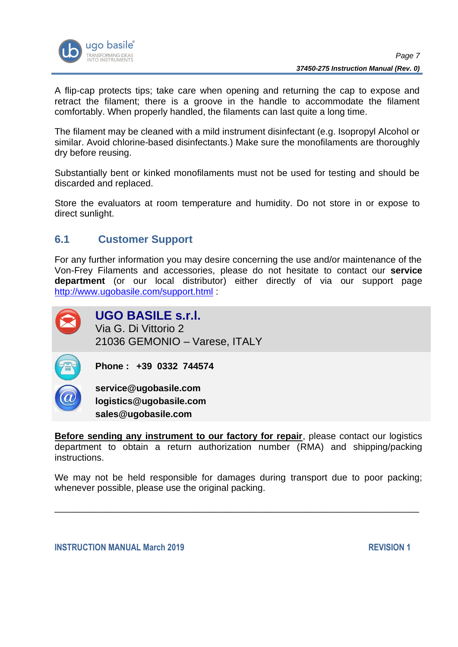

A flip-cap protects tips; take care when opening and returning the cap to expose and retract the filament; there is a groove in the handle to accommodate the filament comfortably. When properly handled, the filaments can last quite a long time.

The filament may be cleaned with a mild instrument disinfectant (e.g. Isopropyl Alcohol or similar. Avoid chlorine-based disinfectants.) Make sure the monofilaments are thoroughly dry before reusing.

Substantially bent or kinked monofilaments must not be used for testing and should be discarded and replaced.

Store the evaluators at room temperature and humidity. Do not store in or expose to direct sunlight.

#### **6.1 Customer Support**

For any further information you may desire concerning the use and/or maintenance of the Von-Frey Filaments and accessories, please do not hesitate to contact our **service department** (or our local distributor) either directly of via our support page <http://www.ugobasile.com/support.html> :



**Phone : +39 0332 744574**



**service@ugobasile.com logistics@ugobasile.com sales@ugobasile.com**

**Before sending any instrument to our factory for repair**, please contact our logistics department to obtain a return authorization number (RMA) and shipping/packing instructions.

We may not be held responsible for damages during transport due to poor packing; whenever possible, please use the original packing.

\_\_\_\_\_\_\_\_\_\_\_\_\_\_\_\_\_\_\_\_\_\_\_\_\_\_\_\_\_\_\_\_\_\_\_\_\_\_\_\_\_\_\_\_\_\_\_\_\_\_\_\_\_\_\_\_\_\_\_\_\_\_\_\_\_\_\_\_\_\_\_

**INSTRUCTION MANUAL March 2019 REVISION 1**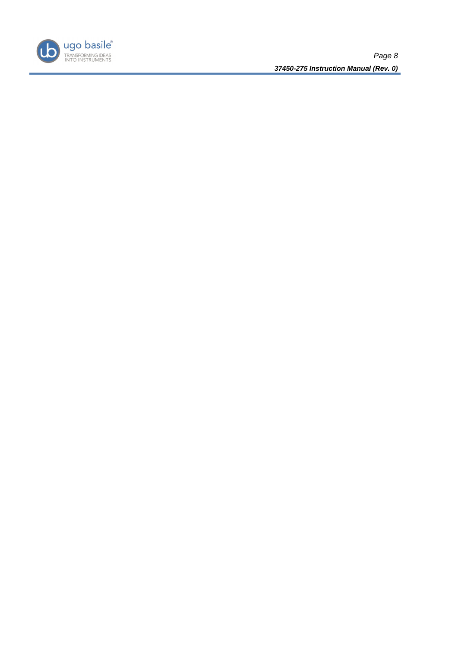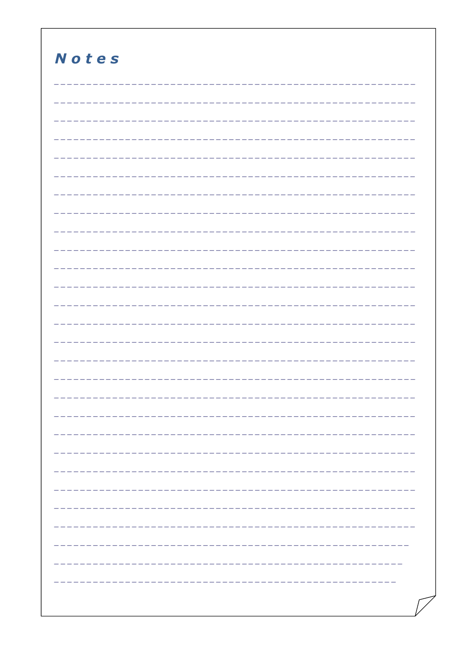| Notes |  |  |  |
|-------|--|--|--|
|-------|--|--|--|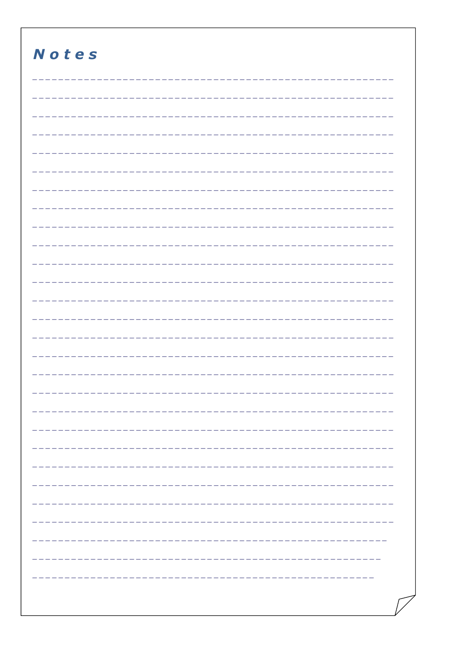# **Notes**

| ----- |
|-------|
| ----- |
| ----  |
|       |
|       |
| ----- |
|       |
|       |
|       |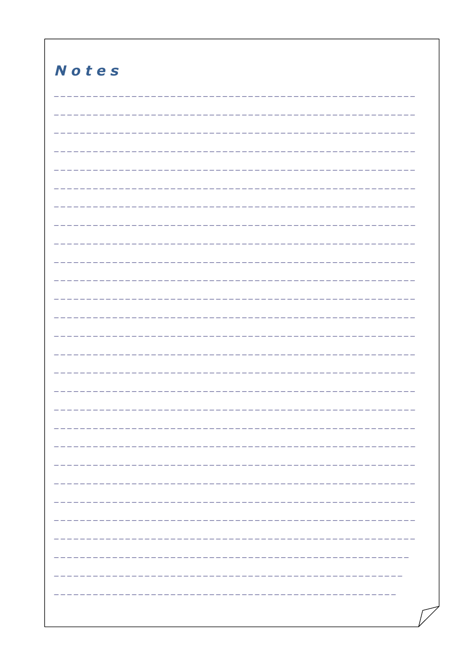# **Notes**

| -----------------------<br>--------------------- |
|--------------------------------------------------|
|                                                  |
|                                                  |
|                                                  |
|                                                  |
|                                                  |
|                                                  |
|                                                  |
|                                                  |
|                                                  |
|                                                  |
|                                                  |
|                                                  |
|                                                  |
|                                                  |
|                                                  |
|                                                  |